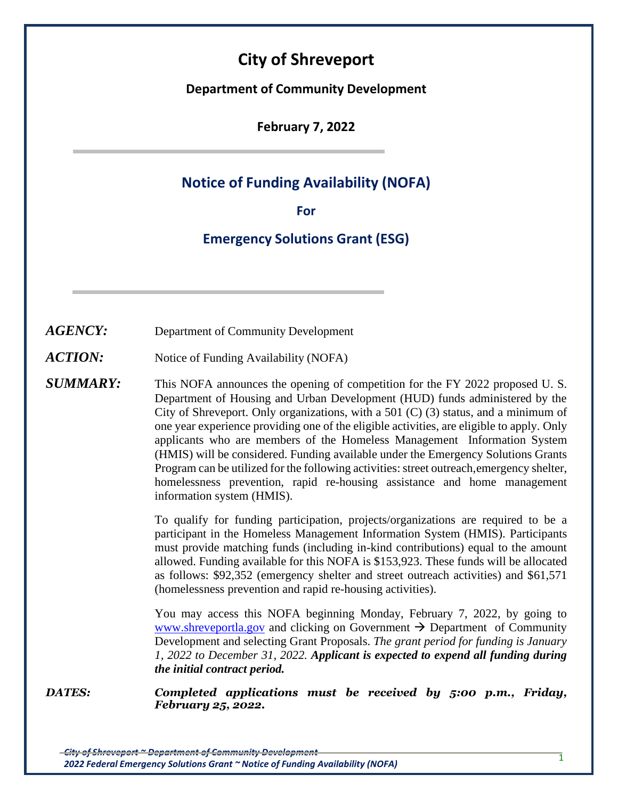# **City of Shreveport**

**Department of Community Development**

**February 7, 2022**

## **Notice of Funding Availability (NOFA)**

**For**

## **Emergency Solutions Grant (ESG)**

*AGENCY:* Department of Community Development

*ACTION:* Notice of Funding Availability (NOFA)

**SUMMARY:** This NOFA announces the opening of competition for the FY 2022 proposed U.S. Department of Housing and Urban Development (HUD) funds administered by the City of Shreveport. Only organizations, with a 501  $(C)$  (3) status, and a minimum of one year experience providing one of the eligible activities, are eligible to apply. Only applicants who are members of the Homeless Management Information System (HMIS) will be considered. Funding available under the Emergency Solutions Grants Program can be utilized for the following activities: street outreach,emergency shelter, homelessness prevention, rapid re-housing assistance and home management information system (HMIS).

> To qualify for funding participation, projects/organizations are required to be a participant in the Homeless Management Information System (HMIS). Participants must provide matching funds (including in-kind contributions) equal to the amount allowed. Funding available for this NOFA is \$153,923. These funds will be allocated as follows: \$92,352 (emergency shelter and street outreach activities) and \$61,571 (homelessness prevention and rapid re-housing activities).

> You may access this NOFA beginning Monday, February 7, 2022, by going to [www.shreveportla.gov](http://www.shreveportla.gov/) and clicking on Government  $\rightarrow$  Department of Community Development and selecting Grant Proposals. *The grant period for funding is January 1, 2022 to December 31, 2022. Applicant is expected to expend all funding during the initial contract period.*

*DATES: Completed applications must be received by 5:00 p.m., Friday, February 25, 2022.*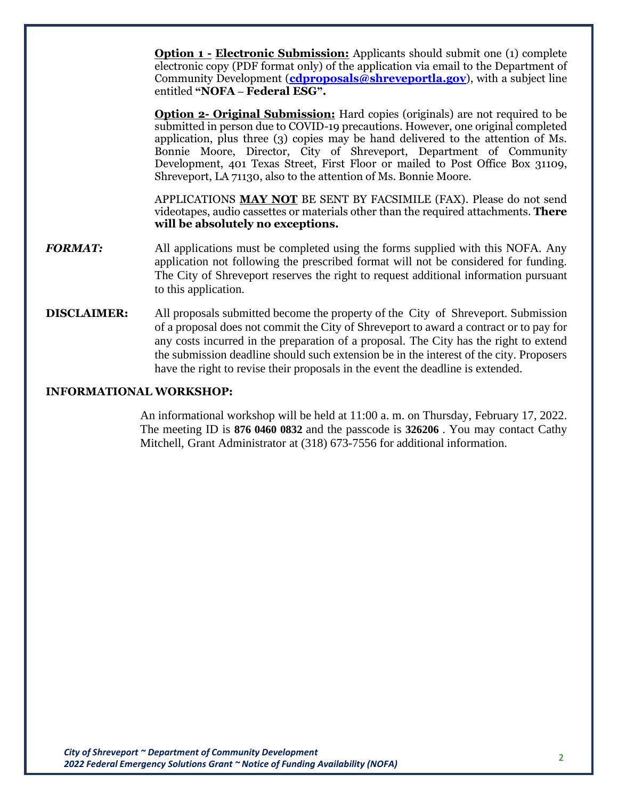**Option 1 - Electronic Submission:** Applicants should submit one (1) complete electronic copy (PDF format only) of the application via email to the Department of Community Development (**[cdproposals@shreveportla.gov](mailto:cdproposals@shreveportla.gov)**), with a subject line entitled **"NOFA – Federal ESG".**

**Option 2- Original Submission:** Hard copies (originals) are not required to be submitted in person due to COVID-19 precautions. However, one original completed application, plus three (3) copies may be hand delivered to the attention of Ms. Bonnie Moore, Director, City of Shreveport, Department of Community Development, 401 Texas Street, First Floor or mailed to Post Office Box 31109, Shreveport, LA 71130, also to the attention of Ms. Bonnie Moore.

APPLICATIONS **MAY NOT** BE SENT BY FACSIMILE (FAX). Please do not send videotapes, audio cassettes or materials other than the required attachments. **There will be absolutely no exceptions.**

- *FORMAT:* All applications must be completed using the forms supplied with this NOFA. Any application not following the prescribed format will not be considered for funding. The City of Shreveport reserves the right to request additional information pursuant to this application.
- **DISCLAIMER:** All proposals submitted become the property of the City of Shreveport. Submission of a proposal does not commit the City of Shreveport to award a contract or to pay for any costs incurred in the preparation of a proposal. The City has the right to extend the submission deadline should such extension be in the interest of the city. Proposers have the right to revise their proposals in the event the deadline is extended.

#### **INFORMATIONAL WORKSHOP:**

An informational workshop will be held at 11:00 a. m. on Thursday, February 17, 2022. The meeting ID is **876 0460 0832** and the passcode is **326206** . You may contact Cathy Mitchell, Grant Administrator at (318) 673-7556 for additional information.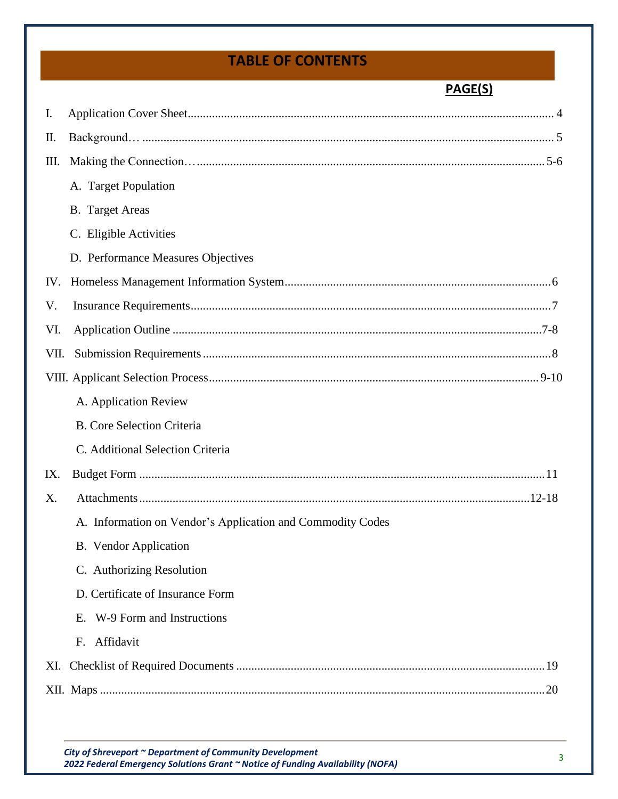## **TABLE OF CONTENTS**

## **PAGE(S)**

| I.   |                                                            |
|------|------------------------------------------------------------|
| П.   |                                                            |
| Ш.   |                                                            |
|      | A. Target Population                                       |
|      | <b>B.</b> Target Areas                                     |
|      | C. Eligible Activities                                     |
|      | D. Performance Measures Objectives                         |
| IV.  |                                                            |
| V.   |                                                            |
| VI.  |                                                            |
| VII. |                                                            |
|      |                                                            |
|      | A. Application Review                                      |
|      | <b>B.</b> Core Selection Criteria                          |
|      | C. Additional Selection Criteria                           |
| IX.  |                                                            |
| X.   |                                                            |
|      | A. Information on Vendor's Application and Commodity Codes |
|      | B. Vendor Application                                      |
|      | C. Authorizing Resolution                                  |
|      | D. Certificate of Insurance Form                           |
|      | W-9 Form and Instructions<br>$E_{\rm{r}}$                  |
|      | Affidavit<br>F.                                            |
| XI.  |                                                            |
|      | .20                                                        |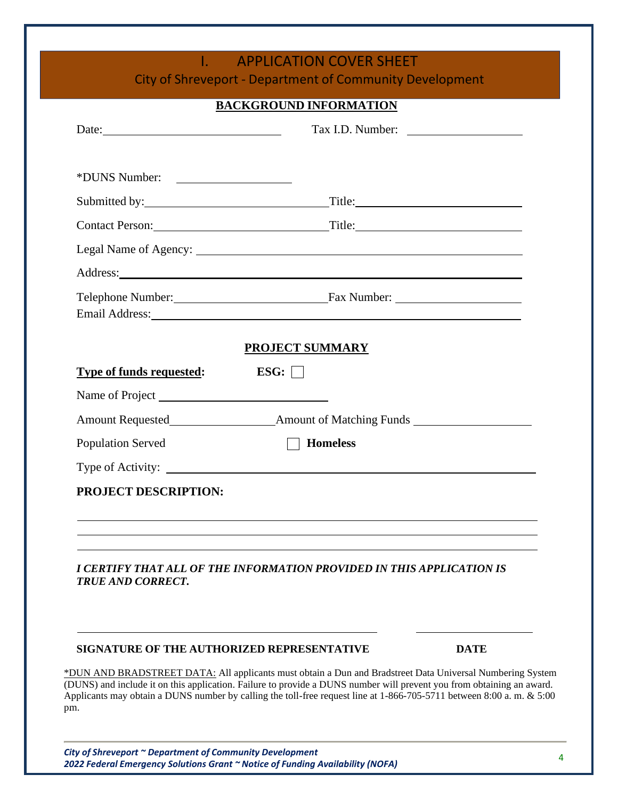## **I. APPLICATION COVER SHEET**

City of Shreveport - Department of Community Development

#### **BACKGROUND INFORMATION**

| Date: $\qquad \qquad$                      |                                                                       |             |
|--------------------------------------------|-----------------------------------------------------------------------|-------------|
| *DUNS Number:                              |                                                                       |             |
|                                            | Submitted by: Title:                                                  |             |
|                                            | Contact Person: Title: Title:                                         |             |
|                                            |                                                                       |             |
|                                            |                                                                       |             |
|                                            | Telephone Number: Fax Number: Fax Number:                             |             |
|                                            | <b>PROJECT SUMMARY</b>                                                |             |
| <b>Type of funds requested:</b>            | ESG:                                                                  |             |
|                                            |                                                                       |             |
|                                            |                                                                       |             |
| <b>Population Served</b>                   | $\Box$ Homeless                                                       |             |
|                                            |                                                                       |             |
| PROJECT DESCRIPTION:                       |                                                                       |             |
|                                            |                                                                       |             |
| <b>TRUE AND CORRECT.</b>                   | I CERTIFY THAT ALL OF THE INFORMATION PROVIDED IN THIS APPLICATION IS |             |
| SIGNATURE OF THE AUTHORIZED REPRESENTATIVE |                                                                       | <b>DATE</b> |

\*DUN AND BRADSTREET DATA: All applicants must obtain a Dun and Bradstreet Data Universal Numbering System (DUNS) and include it on this application. Failure to provide a DUNS number will prevent you from obtaining an award. Applicants may obtain a DUNS number by calling the toll-free request line at 1-866-705-5711 between 8:00 a. m. & 5:00 pm.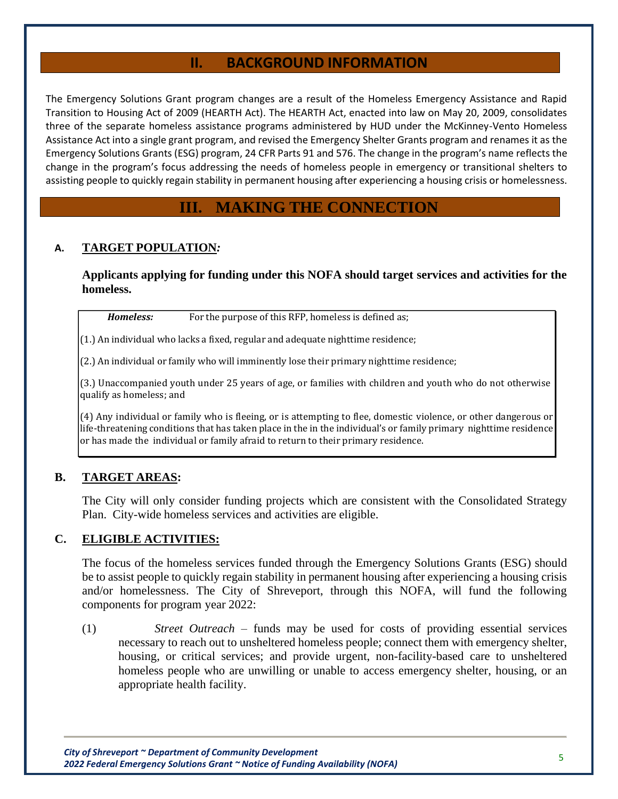## **II. BACKGROUND INFORMATION**

The Emergency Solutions Grant program changes are a result of the Homeless Emergency Assistance and Rapid Transition to Housing Act of 2009 (HEARTH Act). The HEARTH Act, enacted into law on May 20, 2009, consolidates three of the separate homeless assistance programs administered by HUD under the McKinney-Vento Homeless Assistance Act into a single grant program, and revised the Emergency Shelter Grants program and renames it as the Emergency Solutions Grants (ESG) program, 24 CFR Parts 91 and 576. The change in the program's name reflects the change in the program's focus addressing the needs of homeless people in emergency or transitional shelters to assisting people to quickly regain stability in permanent housing after experiencing a housing crisis or homelessness.

## **III. MAKING THE CONNECTION**

#### **A. TARGET POPULATION***:*

**Applicants applying for funding under this NOFA should target services and activities for the homeless.**

*Homeless:* For the purpose of this RFP, homeless is defined as;

(1.) An individual who lacks a fixed, regular and adequate nighttime residence;

(2.) An individual or family who will imminently lose their primary nighttime residence;

(3.) Unaccompanied youth under 25 years of age, or families with children and youth who do not otherwise qualify as homeless; and

(4) Any individual or family who is fleeing, or is attempting to flee, domestic violence, or other dangerous or life-threatening conditions that has taken place in the in the individual's or family primary nighttime residence or has made the individual or family afraid to return to their primary residence.

#### **B. TARGET AREAS:**

The City will only consider funding projects which are consistent with the Consolidated Strategy Plan. City-wide homeless services and activities are eligible.

#### **C. ELIGIBLE ACTIVITIES:**

The focus of the homeless services funded through the Emergency Solutions Grants (ESG) should be to assist people to quickly regain stability in permanent housing after experiencing a housing crisis and/or homelessness. The City of Shreveport, through this NOFA, will fund the following components for program year 2022:

(1) *Street Outreach* – funds may be used for costs of providing essential services necessary to reach out to unsheltered homeless people; connect them with emergency shelter, housing, or critical services; and provide urgent, non-facility-based care to unsheltered homeless people who are unwilling or unable to access emergency shelter, housing, or an appropriate health facility.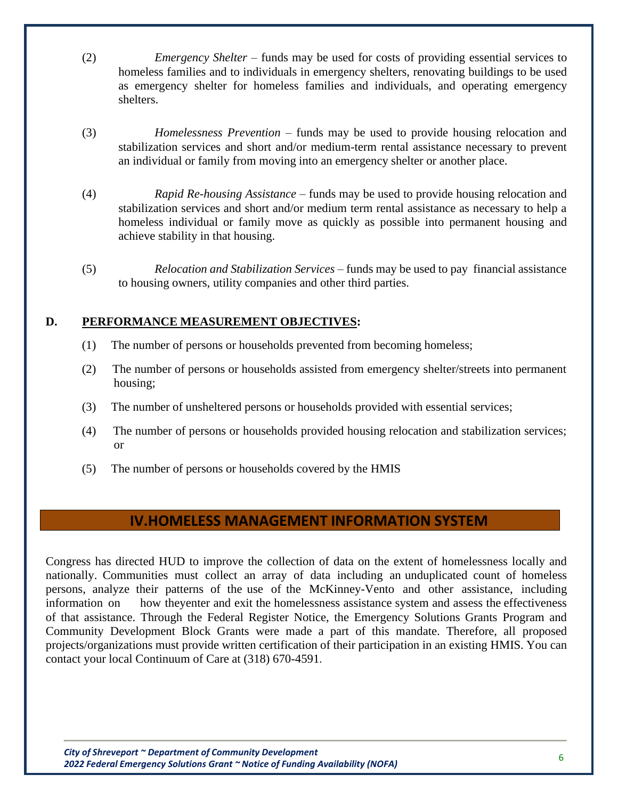- (2) *Emergency Shelter*  funds may be used for costs of providing essential services to homeless families and to individuals in emergency shelters, renovating buildings to be used as emergency shelter for homeless families and individuals, and operating emergency shelters.
- (3) *Homelessness Prevention*  funds may be used to provide housing relocation and stabilization services and short and/or medium-term rental assistance necessary to prevent an individual or family from moving into an emergency shelter or another place.
- (4) *Rapid Re-housing Assistance*  funds may be used to provide housing relocation and stabilization services and short and/or medium term rental assistance as necessary to help a homeless individual or family move as quickly as possible into permanent housing and achieve stability in that housing.
- (5) *Relocation and Stabilization Services* funds may be used to pay financial assistance to housing owners, utility companies and other third parties.

#### **D. PERFORMANCE MEASUREMENT OBJECTIVES:**

- (1) The number of persons or households prevented from becoming homeless;
- (2) The number of persons or households assisted from emergency shelter/streets into permanent housing;
- (3) The number of unsheltered persons or households provided with essential services;
- (4) The number of persons or households provided housing relocation and stabilization services; or
- (5) The number of persons or households covered by the HMIS

## **IV.HOMELESS MANAGEMENT INFORMATION SYSTEM**

Congress has directed HUD to improve the collection of data on the extent of homelessness locally and nationally. Communities must collect an array of data including an unduplicated count of homeless persons, analyze their patterns of the use of the McKinney-Vento and other assistance, including information on how theyenter and exit the homelessness assistance system and assess the effectiveness of that assistance. Through the Federal Register Notice, the Emergency Solutions Grants Program and Community Development Block Grants were made a part of this mandate. Therefore, all proposed projects/organizations must provide written certification of their participation in an existing HMIS. You can contact your local Continuum of Care at (318) 670-4591.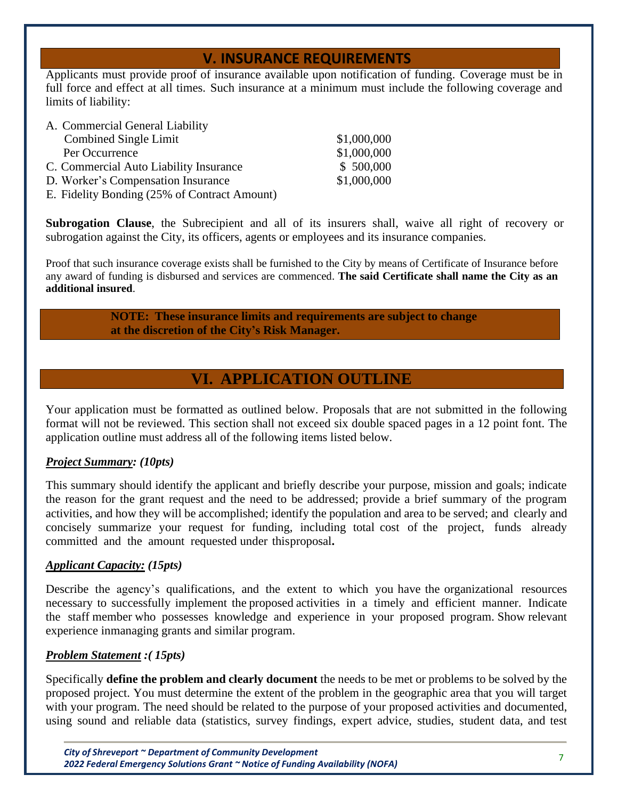## **V. INSURANCE REQUIREMENTS**

Applicants must provide proof of insurance available upon notification of funding. Coverage must be in full force and effect at all times. Such insurance at a minimum must include the following coverage and limits of liability:

| \$1,000,000 |
|-------------|
| \$1,000,000 |
| \$500,000   |
| \$1,000,000 |
|             |
|             |

**Subrogation Clause**, the Subrecipient and all of its insurers shall, waive all right of recovery or subrogation against the City, its officers, agents or employees and its insurance companies.

Proof that such insurance coverage exists shall be furnished to the City by means of Certificate of Insurance before any award of funding is disbursed and services are commenced. **The said Certificate shall name the City as an additional insured**.

#### **NOTE: These insurance limits and requirements are subject to change at the discretion of the City's Risk Manager.**

## **VI. APPLICATION OUTLINE**

Your application must be formatted as outlined below. Proposals that are not submitted in the following format will not be reviewed. This section shall not exceed six double spaced pages in a 12 point font. The application outline must address all of the following items listed below.

### *Project Summary: (10pts)*

This summary should identify the applicant and briefly describe your purpose, mission and goals; indicate the reason for the grant request and the need to be addressed; provide a brief summary of the program activities, and how they will be accomplished; identify the population and area to be served; and clearly and concisely summarize your request for funding, including total cost of the project, funds already committed and the amount requested under this proposal.

#### *Applicant Capacity: (15pts)*

Describe the agency's qualifications, and the extent to which you have the organizational resources necessary to successfully implement the proposed activities in a timely and efficient manner. Indicate the staff member who possesses knowledge and experience in your proposed program. Show relevant experience inmanaging grants and similar program.

#### *Problem Statement :( 15pts)*

Specifically **define the problem and clearly document** the needs to be met or problems to be solved by the proposed project. You must determine the extent of the problem in the geographic area that you will target with your program. The need should be related to the purpose of your proposed activities and documented, using sound and reliable data (statistics, survey findings, expert advice, studies, student data, and test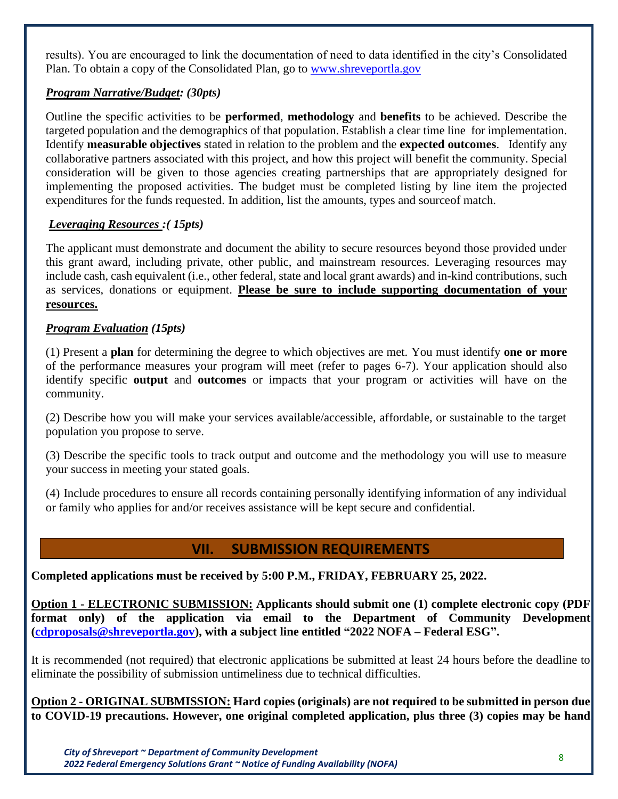results). You are encouraged to link the documentation of need to data identified in the city's Consolidated Plan. To obtain a copy of the Consolidated Plan, go to [www.shreveportla.gov](http://www.shreveportla.gov/)

#### *Program Narrative/Budget: (30pts)*

Outline the specific activities to be **performed**, **methodology** and **benefits** to be achieved. Describe the targeted population and the demographics of that population. Establish a clear time line for implementation. Identify **measurable objectives** stated in relation to the problem and the **expected outcomes**. Identify any collaborative partners associated with this project, and how this project will benefit the community. Special consideration will be given to those agencies creating partnerships that are appropriately designed for implementing the proposed activities. The budget must be completed listing by line item the projected expenditures for the funds requested. In addition, list the amounts, types and sourceof match.

#### *Leveraging Resources :( 15pts)*

The applicant must demonstrate and document the ability to secure resources beyond those provided under this grant award, including private, other public, and mainstream resources. Leveraging resources may include cash, cash equivalent (i.e., other federal, state and local grant awards) and in-kind contributions, such as services, donations or equipment. **Please be sure to include supporting documentation of your resources.**

### *Program Evaluation (15pts)*

(1) Present a **plan** for determining the degree to which objectives are met. You must identify **one or more** of the performance measures your program will meet (refer to pages 6-7). Your application should also identify specific **output** and **outcomes** or impacts that your program or activities will have on the community.

(2) Describe how you will make your services available/accessible, affordable, or sustainable to the target population you propose to serve.

(3) Describe the specific tools to track output and outcome and the methodology you will use to measure your success in meeting your stated goals.

(4) Include procedures to ensure all records containing personally identifying information of any individual or family who applies for and/or receives assistance will be kept secure and confidential.

## **VII. SUBMISSION REQUIREMENTS**

**Completed applications must be received by 5:00 P.M., FRIDAY, FEBRUARY 25, 2022.**

**Option 1 - ELECTRONIC SUBMISSION: Applicants should submit one (1) complete electronic copy (PDF format only) of the application via email to the Department of Community Development [\(cdproposals@shreveportla.gov\)](mailto:cdproposals@shreveportla.gov), with a subject line entitled "2022 NOFA – Federal ESG".**

It is recommended (not required) that electronic applications be submitted at least 24 hours before the deadline to eliminate the possibility of submission untimeliness due to technical difficulties.

**Option 2 - ORIGINAL SUBMISSION: Hard copies (originals) are not required to be submitted in person due to COVID-19 precautions. However, one original completed application, plus three (3) copies may be hand**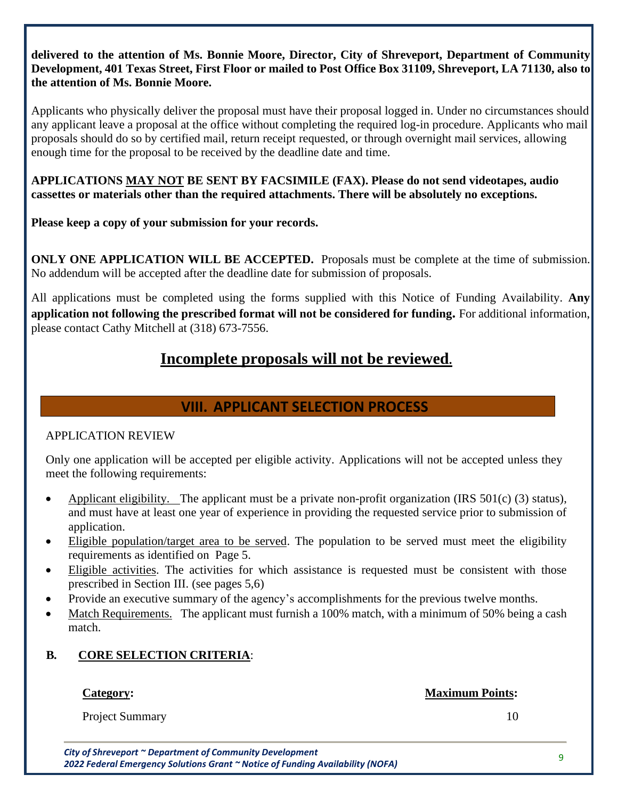#### **delivered to the attention of Ms. Bonnie Moore, Director, City of Shreveport, Department of Community Development, 401 Texas Street, First Floor or mailed to Post Office Box 31109, Shreveport, LA 71130, also to the attention of Ms. Bonnie Moore.**

Applicants who physically deliver the proposal must have their proposal logged in. Under no circumstances should any applicant leave a proposal at the office without completing the required log-in procedure. Applicants who mail proposals should do so by certified mail, return receipt requested, or through overnight mail services, allowing enough time for the proposal to be received by the deadline date and time.

**APPLICATIONS MAY NOT BE SENT BY FACSIMILE (FAX). Please do not send videotapes, audio cassettes or materials other than the required attachments. There will be absolutely no exceptions.**

**Please keep a copy of your submission for your records.** 

**ONLY ONE APPLICATION WILL BE ACCEPTED.** Proposals must be complete at the time of submission. No addendum will be accepted after the deadline date for submission of proposals.

All applications must be completed using the forms supplied with this Notice of Funding Availability. **Any application not following the prescribed format will not be considered for funding.** For additional information, please contact Cathy Mitchell at (318) 673-7556.

# **Incomplete proposals will not be reviewed.**

## **VIII. APPLICANT SELECTION PROCESS**

### APPLICATION REVIEW

Only one application will be accepted per eligible activity. Applications will not be accepted unless they meet the following requirements:

- Applicant eligibility. The applicant must be a private non-profit organization (IRS 501(c) (3) status), and must have at least one year of experience in providing the requested service prior to submission of application.
- Eligible population/target area to be served. The population to be served must meet the eligibility requirements as identified on Page 5.
- Eligible activities. The activities for which assistance is requested must be consistent with those prescribed in Section III. (see pages 5,6)
- Provide an executive summary of the agency's accomplishments for the previous twelve months.
- Match Requirements. The applicant must furnish a 100% match, with a minimum of 50% being a cash match.

## **B***.* **CORE SELECTION CRITERIA**:

### **Category:**

**Maximum Points:**

Project Summary

10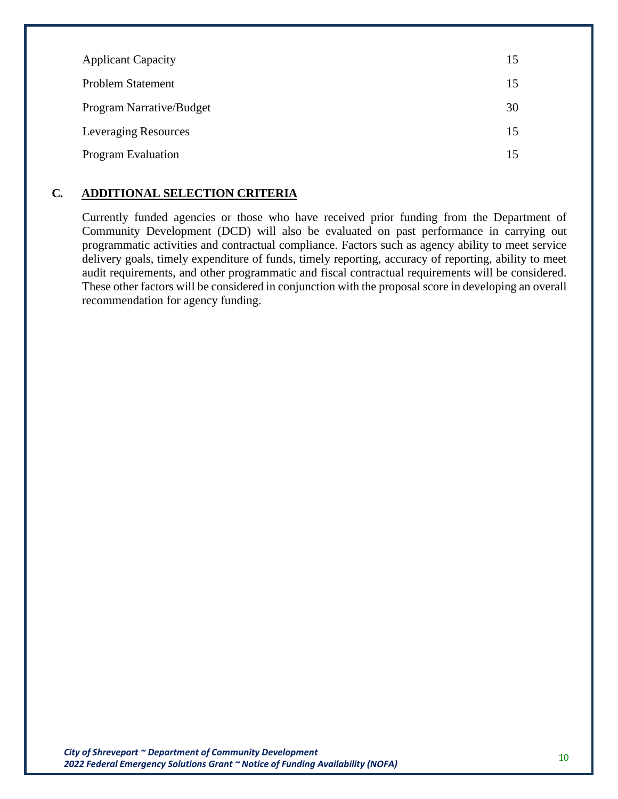| <b>Applicant Capacity</b>   | 15 |
|-----------------------------|----|
| <b>Problem Statement</b>    | 15 |
| Program Narrative/Budget    | 30 |
| <b>Leveraging Resources</b> | 15 |
| <b>Program Evaluation</b>   | 15 |

#### **C***.* **ADDITIONAL SELECTION CRITERIA**

Currently funded agencies or those who have received prior funding from the Department of Community Development (DCD) will also be evaluated on past performance in carrying out programmatic activities and contractual compliance. Factors such as agency ability to meet service delivery goals, timely expenditure of funds, timely reporting, accuracy of reporting, ability to meet audit requirements, and other programmatic and fiscal contractual requirements will be considered. These other factors will be considered in conjunction with the proposal score in developing an overall recommendation for agency funding.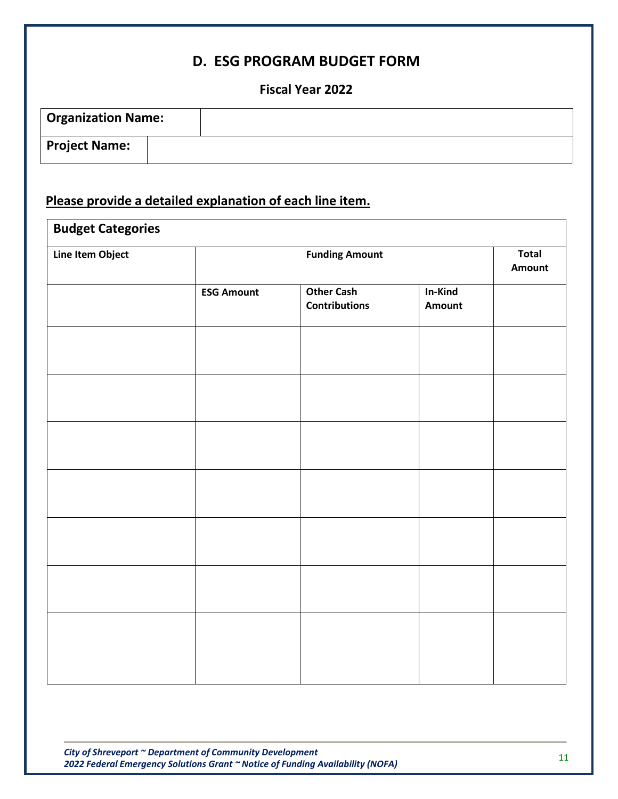## **D. ESG PROGRAM BUDGET FORM**

## **Fiscal Year 2022**

| <b>Organization Name:</b> |  |
|---------------------------|--|
| <b>Project Name:</b>      |  |

# **Please provide a detailed explanation of each line item.**

|                   | <b>Funding Amount</b>                     |                   | <b>Total</b><br><b>Amount</b> |
|-------------------|-------------------------------------------|-------------------|-------------------------------|
| <b>ESG Amount</b> | <b>Other Cash</b><br><b>Contributions</b> | In-Kind<br>Amount |                               |
|                   |                                           |                   |                               |
|                   |                                           |                   |                               |
|                   |                                           |                   |                               |
|                   |                                           |                   |                               |
|                   |                                           |                   |                               |
|                   |                                           |                   |                               |
|                   |                                           |                   |                               |
|                   |                                           |                   |                               |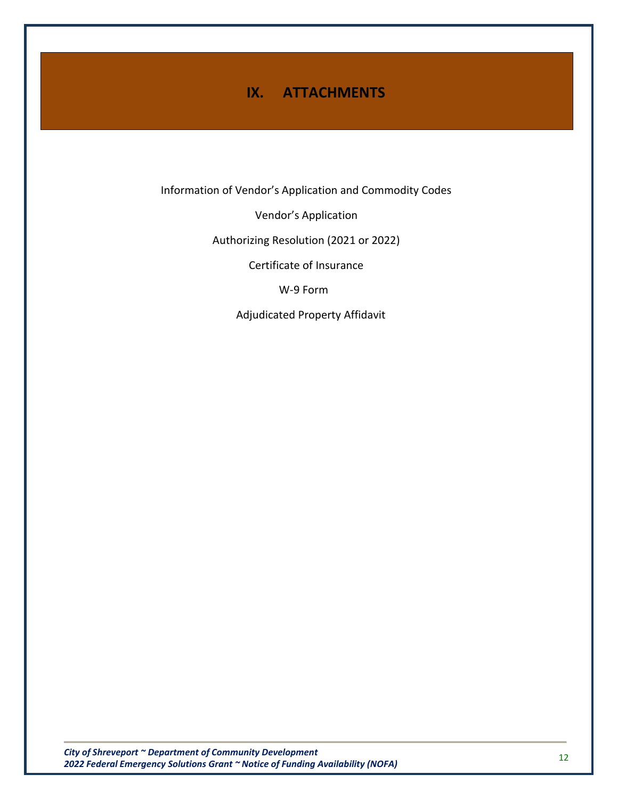# **IX. ATTACHMENTS**

Information of Vendor's Application and Commodity Codes

Vendor's Application

Authorizing Resolution (2021 or 2022)

Certificate of Insurance

W-9 Form

Adjudicated Property Affidavit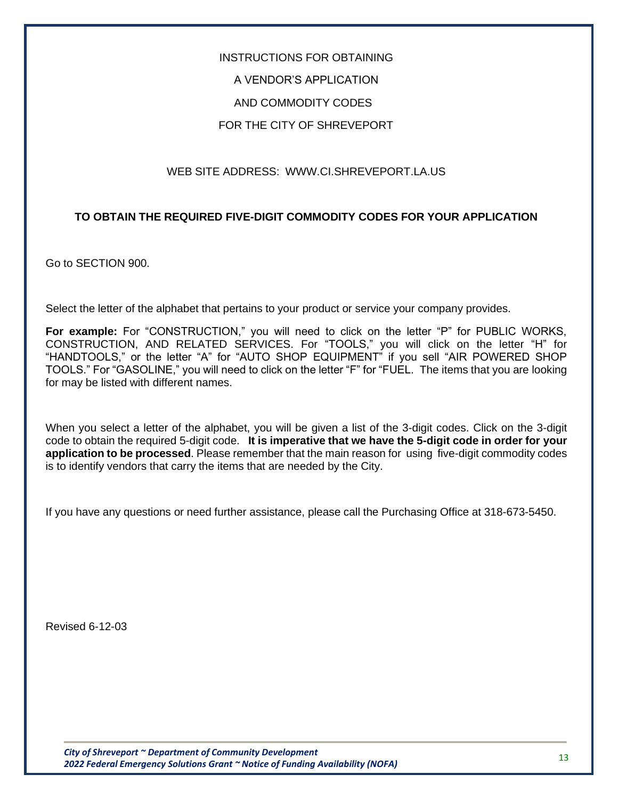# INSTRUCTIONS FOR OBTAINING A VENDOR'S APPLICATION AND COMMODITY CODES FOR THE CITY OF SHREVEPORT

#### WEB SITE ADDRESS: [WWW.CI.SHREVEPORT.LA.US](http://www.ci.shreveport.la.us/)

#### **TO OBTAIN THE REQUIRED FIVE-DIGIT COMMODITY CODES FOR YOUR APPLICATION**

Go to SECTION 900.

Select the letter of the alphabet that pertains to your product or service your company provides.

For example: For "CONSTRUCTION," you will need to click on the letter "P" for PUBLIC WORKS, CONSTRUCTION, AND RELATED SERVICES. For "TOOLS," you will click on the letter "H" for "HANDTOOLS," or the letter "A" for "AUTO SHOP EQUIPMENT" if you sell "AIR POWERED SHOP TOOLS." For "GASOLINE," you will need to click on the letter "F" for "FUEL. The items that you are looking for may be listed with different names.

When you select a letter of the alphabet, you will be given a list of the 3-digit codes. Click on the 3-digit code to obtain the required 5-digit code. **It is imperative that we have the 5-digit code in order for your application to be processed**. Please remember that the main reason for using five-digit commodity codes is to identify vendors that carry the items that are needed by the City.

If you have any questions or need further assistance, please call the Purchasing Office at 318-673-5450.

Revised 6-12-03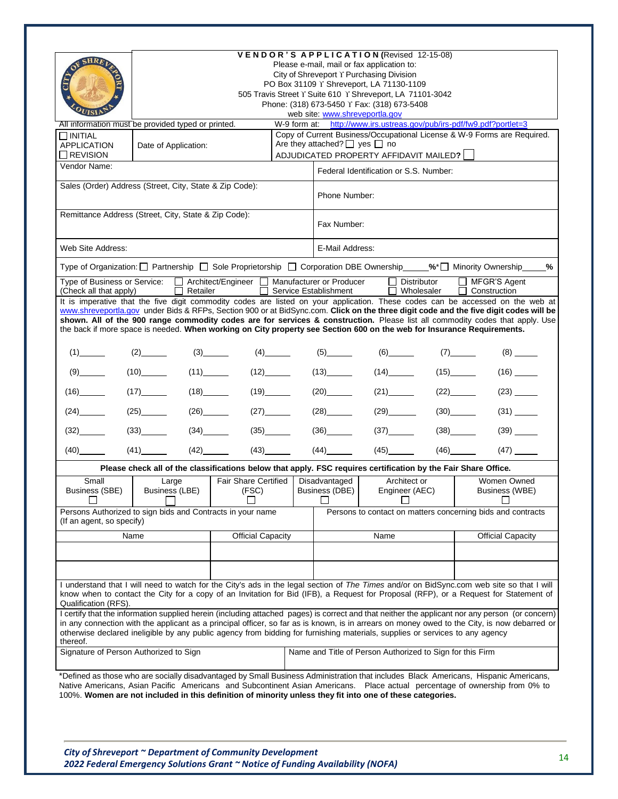|                                |                                                                                                                                                                                                                                                                                                                                                                                  |                             |                                         | VENDOR'S APPLICATION (Revised 12-15-08)                                                                  |        |                                                                                                                                                                                                                                                                                   |
|--------------------------------|----------------------------------------------------------------------------------------------------------------------------------------------------------------------------------------------------------------------------------------------------------------------------------------------------------------------------------------------------------------------------------|-----------------------------|-----------------------------------------|----------------------------------------------------------------------------------------------------------|--------|-----------------------------------------------------------------------------------------------------------------------------------------------------------------------------------------------------------------------------------------------------------------------------------|
| <b>SHRF</b>                    |                                                                                                                                                                                                                                                                                                                                                                                  |                             |                                         | Please e-mail, mail or fax application to:                                                               |        |                                                                                                                                                                                                                                                                                   |
|                                |                                                                                                                                                                                                                                                                                                                                                                                  |                             |                                         | City of Shreveport Y Purchasing Division                                                                 |        |                                                                                                                                                                                                                                                                                   |
|                                |                                                                                                                                                                                                                                                                                                                                                                                  |                             |                                         | PO Box 31109 Y Shreveport, LA 71130-1109                                                                 |        |                                                                                                                                                                                                                                                                                   |
|                                |                                                                                                                                                                                                                                                                                                                                                                                  |                             |                                         | 505 Travis Street Y Suite 610 Y Shreveport, LA 71101-3042<br>Phone: (318) 673-5450 Y Fax: (318) 673-5408 |        |                                                                                                                                                                                                                                                                                   |
|                                |                                                                                                                                                                                                                                                                                                                                                                                  |                             | web site: www.shreveportla.gov          |                                                                                                          |        |                                                                                                                                                                                                                                                                                   |
|                                | All information must be provided typed or printed.                                                                                                                                                                                                                                                                                                                               |                             |                                         |                                                                                                          |        | W-9 form at: http://www.irs.ustreas.gov/pub/irs-pdf/fw9.pdf?portlet=3                                                                                                                                                                                                             |
| $\Box$ initial                 |                                                                                                                                                                                                                                                                                                                                                                                  |                             |                                         |                                                                                                          |        | Copy of Current Business/Occupational License & W-9 Forms are Required.                                                                                                                                                                                                           |
| <b>APPLICATION</b><br>REVISION | Date of Application:                                                                                                                                                                                                                                                                                                                                                             |                             | Are they attached? $\Box$ yes $\Box$ no | ADJUDICATED PROPERTY AFFIDAVIT MAILED?                                                                   |        |                                                                                                                                                                                                                                                                                   |
| Vendor Name:                   |                                                                                                                                                                                                                                                                                                                                                                                  |                             |                                         | Federal Identification or S.S. Number:                                                                   |        |                                                                                                                                                                                                                                                                                   |
|                                | Sales (Order) Address (Street, City, State & Zip Code):                                                                                                                                                                                                                                                                                                                          |                             | Phone Number:                           |                                                                                                          |        |                                                                                                                                                                                                                                                                                   |
|                                | Remittance Address (Street, City, State & Zip Code):                                                                                                                                                                                                                                                                                                                             |                             |                                         |                                                                                                          |        |                                                                                                                                                                                                                                                                                   |
|                                |                                                                                                                                                                                                                                                                                                                                                                                  |                             | Fax Number:                             |                                                                                                          |        |                                                                                                                                                                                                                                                                                   |
| Web Site Address:              |                                                                                                                                                                                                                                                                                                                                                                                  |                             | E-Mail Address:                         |                                                                                                          |        |                                                                                                                                                                                                                                                                                   |
|                                | Type of Organization: □ Partnership □ Sole Proprietorship □ Corporation DBE Ownership ____%*□ Minority Ownership ___                                                                                                                                                                                                                                                             |                             |                                         |                                                                                                          |        | %                                                                                                                                                                                                                                                                                 |
| (Check all that apply)         | Type of Business or Service: □ Architect/Engineer □ Manufacturer or Producer<br>$\Box$ Retailer                                                                                                                                                                                                                                                                                  |                             | Service Establishment                   | $\Box$ Distributor<br>$\Box$ Wholesaler                                                                  | $\Box$ | MFGR'S Agent<br>$\Box$ Construction                                                                                                                                                                                                                                               |
|                                |                                                                                                                                                                                                                                                                                                                                                                                  |                             |                                         |                                                                                                          |        | It is imperative that the five digit commodity codes are listed on your application. These codes can be accessed on the web at                                                                                                                                                    |
|                                |                                                                                                                                                                                                                                                                                                                                                                                  |                             |                                         |                                                                                                          |        | www.shreveportla.gov under Bids & RFPs, Section 900 or at BidSync.com. Click on the three digit code and the five digit codes will be                                                                                                                                             |
|                                | the back if more space is needed. When working on City property see Section 600 on the web for Insurance Requirements.                                                                                                                                                                                                                                                           |                             |                                         |                                                                                                          |        | shown. All of the 900 range commodity codes are for services & construction. Please list all commodity codes that apply. Use                                                                                                                                                      |
|                                |                                                                                                                                                                                                                                                                                                                                                                                  |                             |                                         |                                                                                                          |        |                                                                                                                                                                                                                                                                                   |
|                                | (2)                                                                                                                                                                                                                                                                                                                                                                              |                             | (5)                                     | (6)                                                                                                      | (7)    |                                                                                                                                                                                                                                                                                   |
| (9)                            | (10)                                                                                                                                                                                                                                                                                                                                                                             |                             |                                         | $(14)$ $\frac{1}{2}$                                                                                     |        |                                                                                                                                                                                                                                                                                   |
|                                |                                                                                                                                                                                                                                                                                                                                                                                  | $(19)$ <sub>______</sub>    | (20)                                    | (21)                                                                                                     |        |                                                                                                                                                                                                                                                                                   |
|                                |                                                                                                                                                                                                                                                                                                                                                                                  | (27)                        | (28)                                    |                                                                                                          |        |                                                                                                                                                                                                                                                                                   |
| (32)                           |                                                                                                                                                                                                                                                                                                                                                                                  | (35)                        | (36)                                    |                                                                                                          | (38)   |                                                                                                                                                                                                                                                                                   |
|                                |                                                                                                                                                                                                                                                                                                                                                                                  |                             |                                         |                                                                                                          |        |                                                                                                                                                                                                                                                                                   |
|                                | Please check all of the classifications below that apply. FSC requires certification by the Fair Share Office.                                                                                                                                                                                                                                                                   |                             |                                         |                                                                                                          |        |                                                                                                                                                                                                                                                                                   |
| Small                          | Large                                                                                                                                                                                                                                                                                                                                                                            | <b>Fair Share Certified</b> | Disadvantaged                           | Architect or                                                                                             |        | Women Owned                                                                                                                                                                                                                                                                       |
| <b>Business (SBE)</b>          | Business (LBE)                                                                                                                                                                                                                                                                                                                                                                   | (FSC)                       | Business (DBE)                          | Engineer (AEC)                                                                                           |        | Business (WBE)                                                                                                                                                                                                                                                                    |
|                                |                                                                                                                                                                                                                                                                                                                                                                                  |                             |                                         |                                                                                                          |        |                                                                                                                                                                                                                                                                                   |
| (If an agent, so specify)      | Persons Authorized to sign bids and Contracts in your name                                                                                                                                                                                                                                                                                                                       |                             |                                         |                                                                                                          |        | Persons to contact on matters concerning bids and contracts                                                                                                                                                                                                                       |
|                                | Name                                                                                                                                                                                                                                                                                                                                                                             | <b>Official Capacity</b>    |                                         | Name                                                                                                     |        | <b>Official Capacity</b>                                                                                                                                                                                                                                                          |
|                                |                                                                                                                                                                                                                                                                                                                                                                                  |                             |                                         |                                                                                                          |        |                                                                                                                                                                                                                                                                                   |
|                                |                                                                                                                                                                                                                                                                                                                                                                                  |                             |                                         |                                                                                                          |        |                                                                                                                                                                                                                                                                                   |
|                                |                                                                                                                                                                                                                                                                                                                                                                                  |                             |                                         |                                                                                                          |        |                                                                                                                                                                                                                                                                                   |
|                                |                                                                                                                                                                                                                                                                                                                                                                                  |                             |                                         |                                                                                                          |        | I understand that I will need to watch for the City's ads in the legal section of The Times and/or on BidSync.com web site so that I will<br>know when to contact the City for a copy of an Invitation for Bid (IFB), a Request for Proposal (RFP), or a Request for Statement of |
| Qualification (RFS).           |                                                                                                                                                                                                                                                                                                                                                                                  |                             |                                         |                                                                                                          |        | I certify that the information supplied herein (including attached pages) is correct and that neither the applicant nor any person (or concern)                                                                                                                                   |
|                                | otherwise declared ineligible by any public agency from bidding for furnishing materials, supplies or services to any agency                                                                                                                                                                                                                                                     |                             |                                         |                                                                                                          |        | in any connection with the applicant as a principal officer, so far as is known, is in arrears on money owed to the City, is now debarred or                                                                                                                                      |
| thereof.                       | Signature of Person Authorized to Sign                                                                                                                                                                                                                                                                                                                                           |                             |                                         | Name and Title of Person Authorized to Sign for this Firm                                                |        |                                                                                                                                                                                                                                                                                   |
|                                |                                                                                                                                                                                                                                                                                                                                                                                  |                             |                                         |                                                                                                          |        |                                                                                                                                                                                                                                                                                   |
|                                | *Defined as those who are socially disadvantaged by Small Business Administration that includes Black Americans, Hispanic Americans,<br>Native Americans, Asian Pacific Americans and Subcontinent Asian Americans. Place actual percentage of ownership from 0% to<br>100%. Women are not included in this definition of minority unless they fit into one of these categories. |                             |                                         |                                                                                                          |        |                                                                                                                                                                                                                                                                                   |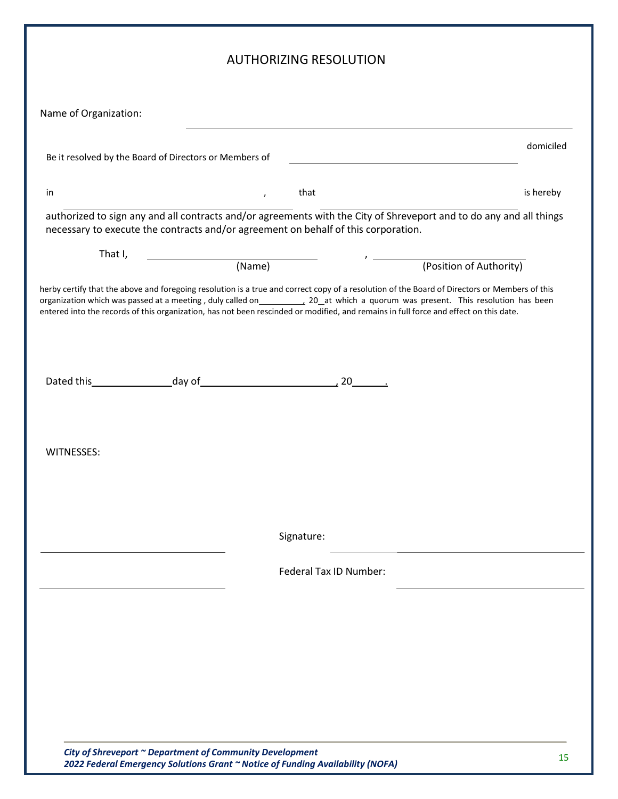|                                                                                                                                                                                                           |        | <b>AUTHORIZING RESOLUTION</b> |                         |           |
|-----------------------------------------------------------------------------------------------------------------------------------------------------------------------------------------------------------|--------|-------------------------------|-------------------------|-----------|
| Name of Organization:                                                                                                                                                                                     |        |                               |                         |           |
|                                                                                                                                                                                                           |        |                               |                         | domiciled |
| Be it resolved by the Board of Directors or Members of                                                                                                                                                    |        |                               |                         |           |
| in                                                                                                                                                                                                        |        | that<br>$\mathbf{r}$          |                         | is hereby |
| authorized to sign any and all contracts and/or agreements with the City of Shreveport and to do any and all things<br>necessary to execute the contracts and/or agreement on behalf of this corporation. |        |                               |                         |           |
| That I,                                                                                                                                                                                                   | (Name) |                               | (Position of Authority) |           |
|                                                                                                                                                                                                           |        |                               |                         |           |
| entered into the records of this organization, has not been rescinded or modified, and remains in full force and effect on this date.                                                                     |        |                               |                         |           |
|                                                                                                                                                                                                           |        |                               |                         |           |
| WITNESSES:                                                                                                                                                                                                |        |                               |                         |           |
|                                                                                                                                                                                                           |        |                               |                         |           |
|                                                                                                                                                                                                           |        |                               |                         |           |
|                                                                                                                                                                                                           |        | Signature:                    |                         |           |
|                                                                                                                                                                                                           |        | Federal Tax ID Number:        |                         |           |
|                                                                                                                                                                                                           |        |                               |                         |           |
|                                                                                                                                                                                                           |        |                               |                         |           |
|                                                                                                                                                                                                           |        |                               |                         |           |
|                                                                                                                                                                                                           |        |                               |                         |           |
|                                                                                                                                                                                                           |        |                               |                         |           |
|                                                                                                                                                                                                           |        |                               |                         |           |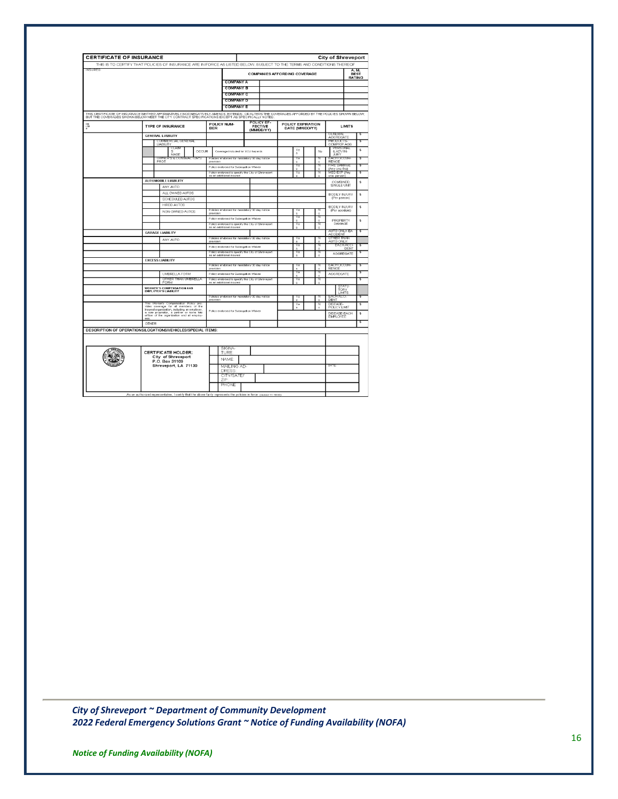| <b>CERTIFICATE OF INSURANCE</b> |                                                                                                                                                                                                                                  |                                                                               |                                            |                                      |               | <b>City of Shreveport</b>       |                                |
|---------------------------------|----------------------------------------------------------------------------------------------------------------------------------------------------------------------------------------------------------------------------------|-------------------------------------------------------------------------------|--------------------------------------------|--------------------------------------|---------------|---------------------------------|--------------------------------|
|                                 | THIS IS TO CERTIFY THAT POLICIES OF INSURANCE ARE IN FORCE AS LISTED BELOW, SUBJECT TO THE TERMS AND CONDITIONS THEREOF                                                                                                          |                                                                               |                                            |                                      |               |                                 |                                |
| <b>INSURED:</b>                 |                                                                                                                                                                                                                                  |                                                                               |                                            | <b>COMPANIES AFFORDING COVERAGE</b>  |               |                                 | A. M.<br><b>BEST</b><br>RATING |
|                                 |                                                                                                                                                                                                                                  | <b>COMPANY A</b>                                                              |                                            |                                      |               |                                 |                                |
|                                 |                                                                                                                                                                                                                                  | <b>COMPANY B</b>                                                              |                                            |                                      |               |                                 |                                |
|                                 |                                                                                                                                                                                                                                  | <b>COMPANY C</b>                                                              |                                            |                                      |               |                                 |                                |
|                                 |                                                                                                                                                                                                                                  | <b>COMPANY D</b>                                                              |                                            |                                      |               |                                 |                                |
|                                 |                                                                                                                                                                                                                                  | <b>COMPANY E</b>                                                              |                                            |                                      |               |                                 |                                |
|                                 | THIS CERTIFICATE OF INSURANCE NEITHER AFFIRMATVELY NOR NEINFIELY AMENDS, EXTENDS, OR ALTERS THE COVERAGES AFFORDED BY THE POLICIES SHOWN BELOW,<br>BUT THE COVERAGES SHOWN BELOW MEET THE CITY CONTRACT SPECIFICATIONS EXCEPT AS |                                                                               |                                            |                                      |               |                                 |                                |
| $\frac{50}{178}$                | <b>TYPE OF INSURANCE</b>                                                                                                                                                                                                         | POLICY NUM-<br><b>BER</b>                                                     | POLICY EF-<br><b>FECTIVE</b><br>(MM/DD/YY) | POLICY EXPIRATION<br>DATE (MM/DD/YY) |               | <b>LIMITS</b>                   |                                |
|                                 | <b>GENERAL LIABILITY</b>                                                                                                                                                                                                         |                                                                               |                                            |                                      |               | ਸਾਵਾਨ<br><b>AGGREGATE</b>       |                                |
|                                 | OMMERCIAL GENERAL<br><b>LIARILITY</b>                                                                                                                                                                                            |                                                                               |                                            |                                      |               | енатист<br>COMP/OP AGG          |                                |
|                                 |                                                                                                                                                                                                                                  |                                                                               |                                            | Ye                                   |               | PERSONAL                        | s                              |
|                                 | S<br>MADE                                                                                                                                                                                                                        | OCCUR<br>Coverage included for XCU hezerds                                    |                                            | e                                    | No            | & ADV IN-<br>JURY               |                                |
|                                 | JWNER'S & CONTRACTOR<br>PROT                                                                                                                                                                                                     | olicies endorsed for mandatory 30 day notice<br>provision                     |                                            |                                      | $\alpha$      | ACH OCCUR<br>RENCE              |                                |
|                                 |                                                                                                                                                                                                                                  | Policy endorsed for Submostion Weiver                                         |                                            |                                      |               | TRE DAMAGE<br>(Any one fire)    |                                |
|                                 |                                                                                                                                                                                                                                  | Policy endorsed to specify the City of Shreveport<br>as an additional insured |                                            | ٧a                                   | $\circ$       | MED EXP (Any<br>one person)     |                                |
|                                 | <b>AUTOMOBILE LIABILITY</b>                                                                                                                                                                                                      |                                                                               |                                            |                                      |               | COMBINED                        | s                              |
|                                 | ANY AUTO                                                                                                                                                                                                                         |                                                                               |                                            |                                      |               | SINGLE UNIT                     |                                |
|                                 | ALL OWNED AUTOS                                                                                                                                                                                                                  |                                                                               |                                            |                                      |               | <b>BODILY INJURY</b>            | s                              |
|                                 | SCHEDULED AUTOS                                                                                                                                                                                                                  |                                                                               |                                            |                                      |               | (Per person)                    |                                |
|                                 | HIRED ALITOR                                                                                                                                                                                                                     |                                                                               |                                            |                                      |               | <b>BODILY INJURY</b>            | s                              |
|                                 | NON-OWNED AUTOS                                                                                                                                                                                                                  | Policies endorsed for mandetory 30 day notice<br>provision                    |                                            | ×                                    | $\Delta$      | (Per accident)                  |                                |
|                                 |                                                                                                                                                                                                                                  | Policy endorsed for Subrogation Waiver                                        |                                            |                                      | $\circ$       | PROPERTY                        | s                              |
|                                 |                                                                                                                                                                                                                                  | Policy endorsed to specify the City of Shreveport<br>as an additional insured |                                            | Y۵                                   | ٥             | DAMAGE                          |                                |
|                                 | <b>GARAGE LIABILITY</b>                                                                                                                                                                                                          |                                                                               |                                            |                                      |               | AUTO ONLY-EA<br><b>ACCIDENT</b> |                                |
|                                 | ANY AUTO                                                                                                                                                                                                                         | Policies endorsed for mandatory 30 day notice<br>provision                    |                                            | Y٥                                   | $\alpha$      | OTHER THAN<br>AUTO ONLY         |                                |
|                                 |                                                                                                                                                                                                                                  | Policy endorsed for Subrogetion Waiver                                        |                                            | Y۵                                   | N<br>$\alpha$ | <b>EACH ACCI</b><br>DENT        |                                |
|                                 |                                                                                                                                                                                                                                  | Policy endorsed to specify the City of Shreveport                             |                                            | Yē                                   | w             | AGGREGATE                       |                                |
|                                 | <b>EXCESS LIABILITY</b>                                                                                                                                                                                                          | as an additional insured                                                      |                                            | ċ                                    | $\alpha$      |                                 |                                |
|                                 |                                                                                                                                                                                                                                  | Policies endorsed for mandetory 30 day notice                                 |                                            |                                      |               |                                 |                                |
|                                 | UMBRELLA FORM                                                                                                                                                                                                                    | provision<br>Policy endorsed for Subrogation Waiver                           |                                            | 77                                   | $\circ$       | RENCE<br>AGGREGATE              |                                |
|                                 | OTHER THAN UMBRELLA                                                                                                                                                                                                              | Policy endorsed to specify the City of Shreveport                             |                                            | Υē                                   | $\alpha$      |                                 |                                |
|                                 | FORM                                                                                                                                                                                                                             | as an additional insured                                                      |                                            |                                      | $\alpha$      | STATU.                          |                                |
|                                 | <b>WORKER'S COMPENSATION AND</b><br><b>FMPLOYER'S LIABILITY</b>                                                                                                                                                                  |                                                                               |                                            |                                      |               | <b>TORY</b><br><b>LIMITS</b>    |                                |
|                                 |                                                                                                                                                                                                                                  | Policies endorsed for mandetory 30 day notice<br>provision                    |                                            |                                      | $\circ$       | <b>HACCE</b><br>ъ,<br>DENT      |                                |
|                                 | Worker's Compensation Policy pro<br>This<br>ddes coverage for all members of the                                                                                                                                                 |                                                                               |                                            | ٧s                                   | Ν             | DISEASE-                        | s                              |
|                                 | insured organization, including an employer,<br>a sole proprietor, a partner or bona fide<br>officer of the organization and all employ-                                                                                         | Policy endorsed for Subrogation Walver                                        |                                            |                                      | $\circ$       | POLICY LIMIT<br>DISEASE-EACH    | s                              |
|                                 |                                                                                                                                                                                                                                  |                                                                               |                                            |                                      |               | EMPLOYEE                        |                                |
|                                 | OTHER                                                                                                                                                                                                                            |                                                                               |                                            |                                      |               |                                 |                                |
|                                 | DESCRIPTION OF OPERATIONS/LOCATIONS/VEHICLES/SPECIAL ITEMS:                                                                                                                                                                      |                                                                               |                                            |                                      |               |                                 |                                |
|                                 |                                                                                                                                                                                                                                  |                                                                               |                                            |                                      |               |                                 |                                |
|                                 |                                                                                                                                                                                                                                  |                                                                               |                                            |                                      |               |                                 |                                |
|                                 | <b>CERTIFICATE HOLDER:</b>                                                                                                                                                                                                       | SIGNA-<br>TURE                                                                |                                            |                                      |               |                                 |                                |
|                                 | City of Shreveport                                                                                                                                                                                                               | NAME:                                                                         |                                            |                                      |               |                                 |                                |
|                                 | P.O. Box 31109<br>Shreveport, LA 71130                                                                                                                                                                                           | MAILING AD-                                                                   |                                            |                                      |               | DATE                            |                                |
|                                 |                                                                                                                                                                                                                                  | <b>DRESS</b>                                                                  |                                            |                                      |               |                                 |                                |
|                                 |                                                                                                                                                                                                                                  | CITY/SATE/<br>ZIP.                                                            |                                            |                                      |               |                                 |                                |
|                                 |                                                                                                                                                                                                                                  | PHONE                                                                         |                                            |                                      |               |                                 |                                |
|                                 |                                                                                                                                                                                                                                  |                                                                               |                                            |                                      |               |                                 |                                |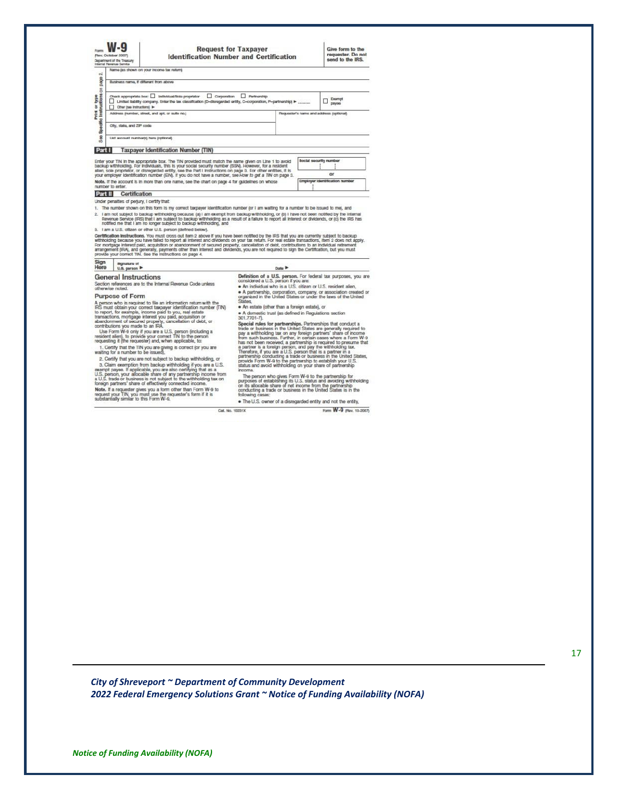| Fort                                   | (Rev. October 2007)<br>Department of the Treasury<br>Internal Revenue Service | <b>Request for Taxpayer</b><br><b>Identification Number and Certification</b>                                                                                                                                                                                                                                                      | Give form to the<br>requester. Do not<br>send to the IRS. |
|----------------------------------------|-------------------------------------------------------------------------------|------------------------------------------------------------------------------------------------------------------------------------------------------------------------------------------------------------------------------------------------------------------------------------------------------------------------------------|-----------------------------------------------------------|
| $+1$                                   |                                                                               | Name (as shown on your income tax return)                                                                                                                                                                                                                                                                                          |                                                           |
| page                                   | Business name, if different from above                                        |                                                                                                                                                                                                                                                                                                                                    |                                                           |
| Print or type<br>edito instructions on | Other has instructional in-                                                   | Check appropriate box:   Individual/Sole propriator   Corporation  <br>Partnarship<br>Limited liability company. Enter the tax classification (D-disregarded entity, C-corporation, P-partnership) >                                                                                                                               | Exampl<br>DIENSO                                          |
|                                        |                                                                               | Address (number, street, and apt. or suite no.)                                                                                                                                                                                                                                                                                    | Requester's name and address (optional)                   |
| ā                                      | City, state, and ZiP code                                                     |                                                                                                                                                                                                                                                                                                                                    |                                                           |
| $\overline{\mathbf{8}}$<br>m           | List account number(s) here (optional)                                        |                                                                                                                                                                                                                                                                                                                                    |                                                           |
| Part I                                 |                                                                               | <b>Taxpayer Identification Number (TIN)</b>                                                                                                                                                                                                                                                                                        |                                                           |
|                                        |                                                                               | Enter your TIN in the appropriate box. The TIN provided must match the name given on Line 1 to avoid<br>backup withholding. For individuals, this is your social security number (SSN). However, for a resident<br>allen, sole proprietor, or disregarded entity, see the Part I Instructions on page 3. For other entities, it is | <b>Social security number</b>                             |
|                                        |                                                                               | your employer identification number (EIN). If you do not have a number, see How to get a TIN on page 3.                                                                                                                                                                                                                            | or                                                        |
|                                        | number to enter.                                                              | Note, If the account is in more than one name, see the chart on page 4 for guidelines on whose                                                                                                                                                                                                                                     | Employer Identification number                            |

#### Part II Certification

Under penalties of perjury, I certify that:

Under penalties of perjury, I certify that:<br>
The number shown on this form is my correct taxpayer identification number (or I am waiting for a number to be issued to me), and<br>
1. The number shown on this form is my correc

3. I am a U.S. others or other U.S. person (lettered below).<br>Certification instructions, You must cross out item 2 above if you have been notified by the IRS that you are currently subject to backup<br>withholding because you

#### Sign signature of<br>Here U.S. person

**General Instructions** General Instructions<br>Section references are to the Internal Revenue Code unless<br>otherwise noted.

**Purpose of Form** 

Purpose of Form<br>and the signification is a minimum of the RS must observe the property<br>of the signification with the RS meant of the signification runder<br>to meant, for example, income paid to you, mal estate<br>to meant the s

2. Certify that you are not subject to backup withholding, or 2. Centry that you are not subject to backup withholding at you are a U.S. 3. Claim exemption from backup withholding at you are all U.S. tractions, if applicable, you are also certifying that as a U.S. U.S. person, your Date P

Definition of a U.S. person. For federal tax purposes, you are<br>considered a U.S. person if you are:<br>• An individual who is a U.S. citizen or U.S. resident alien, id or

• A partnership, corporation, company, or association created<br>organized in the United States or under the laws of the United<br>States States,<br>• An estate (other than a foreign estate), or

· A domestic trust (as defined in Regulations section<br>301.7701-7).

301.7701-7], Special rules for partnerships. Partnerships that conduct a trade or business in the United States are permatly required to pay a withholding tax on any foreign partners' share of income from such business. F

mooms.<br>The person who gives Form W-9 to the partnership for<br>purposes of establishing its U.S. status and avoiding withholding<br>on its allocable share of net income from the partnership<br>conducting a trade or business in the

. The U.S. owner of a disregarded entity and not the entity, Cat. No. 10231X Form W-9 (Rav. 10-2007)

*City of Shreveport ~ Department of Community Development 2022 Federal Emergency Solutions Grant ~ Notice of Funding Availability (NOFA)*

*Notice of Funding Availability (NOFA)*

#### 17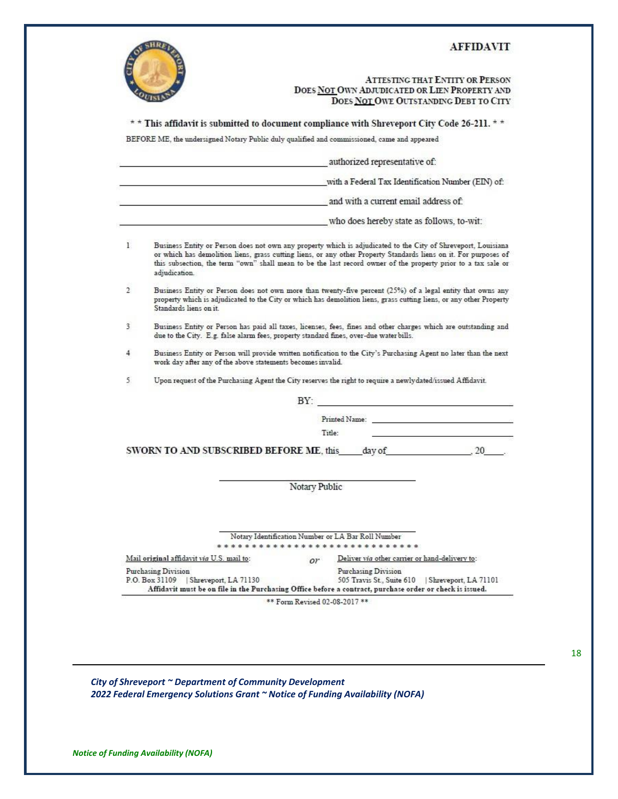#### **AFFIDAVIT**

#### ATTESTING THAT ENTITY OR PERSON DOES NOT OWN ADJUDICATED OR LIEN PROPERTY AND DOES NOT OWE OUTSTANDING DEBT TO CITY

\* \* This affidavit is submitted to document compliance with Shreveport City Code 26-211. \* \*

BEFORE ME, the undersigned Notary Public duly qualified and commissioned, came and appeared

|               |                                                                                                                                                                                                                                                                                                                                                                     |               | authorized representative of:                                         |  |
|---------------|---------------------------------------------------------------------------------------------------------------------------------------------------------------------------------------------------------------------------------------------------------------------------------------------------------------------------------------------------------------------|---------------|-----------------------------------------------------------------------|--|
|               |                                                                                                                                                                                                                                                                                                                                                                     |               | with a Federal Tax Identification Number (EIN) of:                    |  |
|               |                                                                                                                                                                                                                                                                                                                                                                     |               | and with a current email address of:                                  |  |
|               |                                                                                                                                                                                                                                                                                                                                                                     |               | who does hereby state as follows, to-wit:                             |  |
| 1.            | Business Entity or Person does not own any property which is adjudicated to the City of Shreveport, Louisiana<br>or which has demolition liens, grass cutting liens, or any other Property Standards liens on it. For purposes of<br>this subsection, the term "own" shall mean to be the last record owner of the property prior to a tax sale or<br>adjudication. |               |                                                                       |  |
| $\mathcal{L}$ | Business Entity or Person does not own more than twenty-five percent (25%) of a legal entity that owns any<br>property which is adjudicated to the City or which has demolition liens, grass cutting liens, or any other Property<br>Standards liens on it                                                                                                          |               |                                                                       |  |
| 3             | Business Entity or Person has paid all taxes, licenses, fees, fines and other charges which are outstanding and<br>due to the City. E.g. false alarm fees, property standard fines, over-due water bills.                                                                                                                                                           |               |                                                                       |  |
| 4             | Business Entity or Person will provide written notification to the City's Purchasing Agent no later than the next                                                                                                                                                                                                                                                   |               |                                                                       |  |
|               | work day after any of the above statements becomes invalid.                                                                                                                                                                                                                                                                                                         |               |                                                                       |  |
|               | Upon request of the Purchasing Agent the City reserves the right to require a newlydated/issued Affidavit.                                                                                                                                                                                                                                                          |               |                                                                       |  |
|               |                                                                                                                                                                                                                                                                                                                                                                     |               | BY:                                                                   |  |
|               |                                                                                                                                                                                                                                                                                                                                                                     |               | Printed Name:                                                         |  |
|               |                                                                                                                                                                                                                                                                                                                                                                     | Title:        |                                                                       |  |
| 5             | SWORN TO AND SUBSCRIBED BEFORE ME, this day of 20 .                                                                                                                                                                                                                                                                                                                 |               |                                                                       |  |
|               |                                                                                                                                                                                                                                                                                                                                                                     | Notary Public |                                                                       |  |
|               |                                                                                                                                                                                                                                                                                                                                                                     |               |                                                                       |  |
|               |                                                                                                                                                                                                                                                                                                                                                                     |               | Notary Identification Number or LA Bar Roll Number                    |  |
|               |                                                                                                                                                                                                                                                                                                                                                                     |               | ****************************                                          |  |
|               | Mail original affidavit via U.S. mail to:<br>Purchasing Division                                                                                                                                                                                                                                                                                                    | or            | Deliver via other carrier or hand-delivery to:<br>Purchasing Division |  |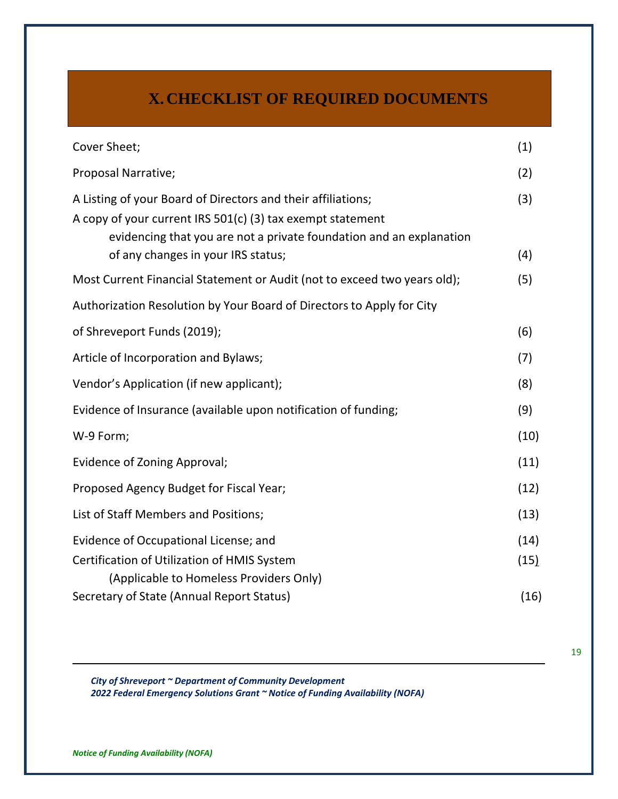# **X. CHECKLIST OF REQUIRED DOCUMENTS**

| Cover Sheet;                                                                                                                                                                                                                            | (1)          |
|-----------------------------------------------------------------------------------------------------------------------------------------------------------------------------------------------------------------------------------------|--------------|
| Proposal Narrative;                                                                                                                                                                                                                     | (2)          |
| A Listing of your Board of Directors and their affiliations;<br>A copy of your current IRS 501(c) (3) tax exempt statement<br>evidencing that you are not a private foundation and an explanation<br>of any changes in your IRS status; | (3)<br>(4)   |
| Most Current Financial Statement or Audit (not to exceed two years old);                                                                                                                                                                | (5)          |
| Authorization Resolution by Your Board of Directors to Apply for City                                                                                                                                                                   |              |
| of Shreveport Funds (2019);                                                                                                                                                                                                             | (6)          |
| Article of Incorporation and Bylaws;                                                                                                                                                                                                    | (7)          |
| Vendor's Application (if new applicant);                                                                                                                                                                                                | (8)          |
| Evidence of Insurance (available upon notification of funding;                                                                                                                                                                          | (9)          |
| W-9 Form;                                                                                                                                                                                                                               | (10)         |
| Evidence of Zoning Approval;                                                                                                                                                                                                            | (11)         |
| Proposed Agency Budget for Fiscal Year;                                                                                                                                                                                                 | (12)         |
| List of Staff Members and Positions;                                                                                                                                                                                                    | (13)         |
| Evidence of Occupational License; and<br>Certification of Utilization of HMIS System<br>(Applicable to Homeless Providers Only)                                                                                                         | (14)<br>(15) |
| Secretary of State (Annual Report Status)                                                                                                                                                                                               | (16)         |